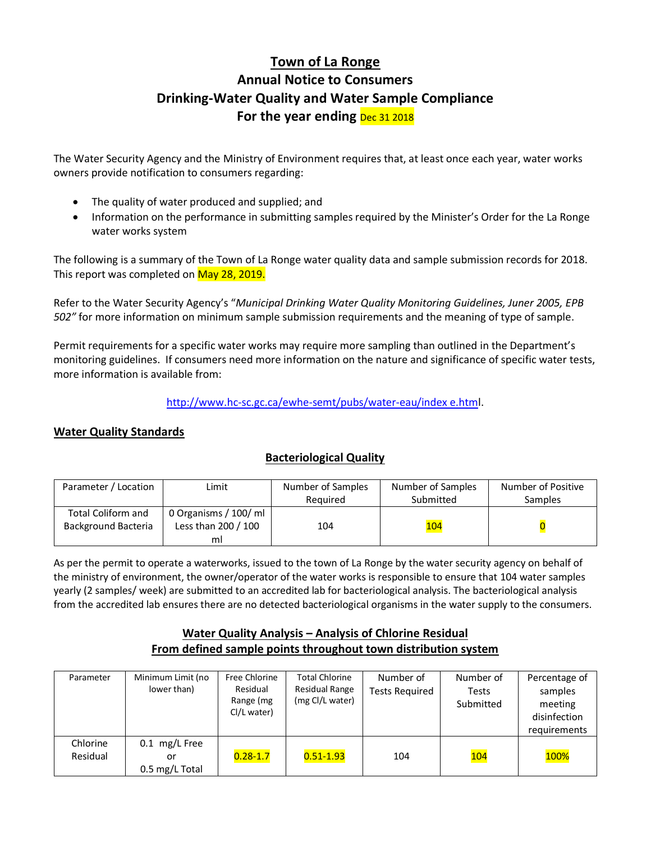# **Town of La Ronge Annual Notice to Consumers Drinking-Water Quality and Water Sample Compliance** For the year ending **Dec 31 2018**

The Water Security Agency and the Ministry of Environment requires that, at least once each year, water works owners provide notification to consumers regarding:

- The quality of water produced and supplied; and
- Information on the performance in submitting samples required by the Minister's Order for the La Ronge water works system

The following is a summary of the Town of La Ronge water quality data and sample submission records for 2018. This report was completed on May 28, 2019.

Refer to the Water Security Agency's "*Municipal Drinking Water Quality Monitoring Guidelines, Juner 2005, EPB 502"* for more information on minimum sample submission requirements and the meaning of type of sample.

Permit requirements for a specific water works may require more sampling than outlined in the Department's monitoring guidelines. If consumers need more information on the nature and significance of specific water tests, more information is available from:

[http://www.hc-sc.gc.ca/ewhe-semt/pubs/water-eau/index e.html](http://www.hc-sc.gc.ca/ewhe-semt/pubs/water-eau/index%20e.htm).

# **Water Quality Standards**

### **Bacteriological Quality**

| Parameter / Location                             | Limit                                              | Number of Samples<br>Required | Number of Samples<br>Submitted | Number of Positive<br>Samples |
|--------------------------------------------------|----------------------------------------------------|-------------------------------|--------------------------------|-------------------------------|
| Total Coliform and<br><b>Background Bacteria</b> | 0 Organisms / 100/ ml<br>Less than 200 / 100<br>ml | 104                           | <b>104</b>                     |                               |

As per the permit to operate a waterworks, issued to the town of La Ronge by the water security agency on behalf of the ministry of environment, the owner/operator of the water works is responsible to ensure that 104 water samples yearly (2 samples/ week) are submitted to an accredited lab for bacteriological analysis. The bacteriological analysis from the accredited lab ensures there are no detected bacteriological organisms in the water supply to the consumers.

## **Water Quality Analysis – Analysis of Chlorine Residual From defined sample points throughout town distribution system**

| Parameter            | Minimum Limit (no<br>lower than)         | Free Chlorine<br>Residual<br>Range (mg<br>Cl/L water) | <b>Total Chlorine</b><br>Residual Range<br>(mg Cl/L water) | Number of<br><b>Tests Required</b> | Number of<br><b>Tests</b><br>Submitted | Percentage of<br>samples<br>meeting<br>disinfection<br>requirements |
|----------------------|------------------------------------------|-------------------------------------------------------|------------------------------------------------------------|------------------------------------|----------------------------------------|---------------------------------------------------------------------|
| Chlorine<br>Residual | mg/L Free<br>0.1<br>or<br>0.5 mg/L Total | $0.28 - 1.7$                                          | $0.51 - 1.93$                                              | 104                                | 104                                    | <b>100%</b>                                                         |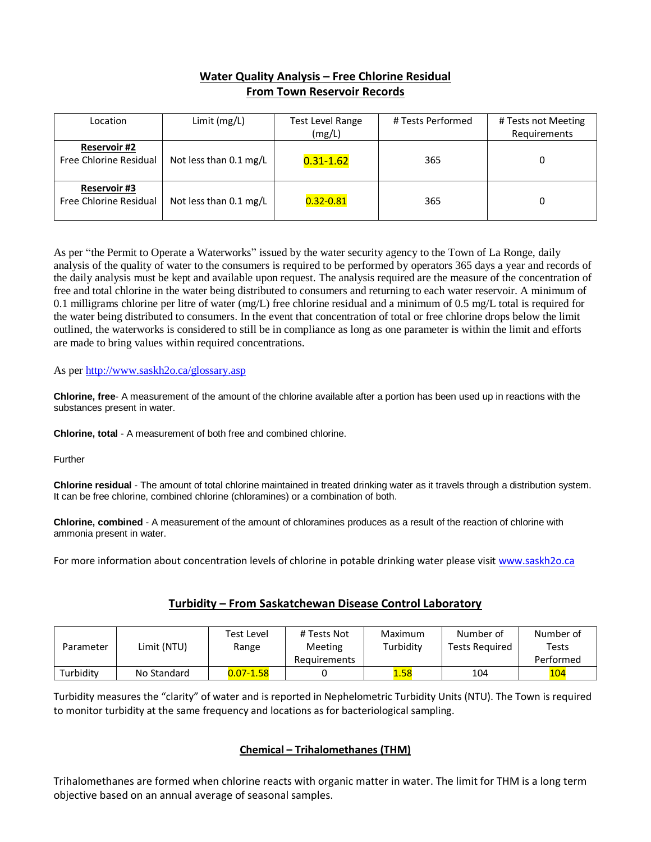# **Water Quality Analysis – Free Chlorine Residual From Town Reservoir Records**

| Location                                      | Limit (mg/L)                     | Test Level Range<br>(mg/L) | # Tests Performed | # Tests not Meeting<br>Requirements |
|-----------------------------------------------|----------------------------------|----------------------------|-------------------|-------------------------------------|
| <b>Reservoir #2</b><br>Free Chlorine Residual | Not less than 0.1 mg/L           | $0.31 - 1.62$              | 365               |                                     |
| <b>Reservoir #3</b><br>Free Chlorine Residual | Not less than $0.1 \text{ mg/L}$ | $0.32 - 0.81$              | 365               |                                     |

As per "the Permit to Operate a Waterworks" issued by the water security agency to the Town of La Ronge, daily analysis of the quality of water to the consumers is required to be performed by operators 365 days a year and records of the daily analysis must be kept and available upon request. The analysis required are the measure of the concentration of free and total chlorine in the water being distributed to consumers and returning to each water reservoir. A minimum of 0.1 milligrams chlorine per litre of water (mg/L) free chlorine residual and a minimum of 0.5 mg/L total is required for the water being distributed to consumers. In the event that concentration of total or free chlorine drops below the limit outlined, the waterworks is considered to still be in compliance as long as one parameter is within the limit and efforts are made to bring values within required concentrations.

#### As per<http://www.saskh2o.ca/glossary.asp>

**Chlorine, free**- A measurement of the amount of the chlorine available after a portion has been used up in reactions with the substances present in water.

**Chlorine, total** - A measurement of both free and combined chlorine.

Further

**Chlorine residual** - The amount of total chlorine maintained in treated drinking water as it travels through a distribution system. It can be free chlorine, combined chlorine (chloramines) or a combination of both.

**Chlorine, combined** - A measurement of the amount of chloramines produces as a result of the reaction of chlorine with ammonia present in water.

For more information about concentration levels of chlorine in potable drinking water please visit [www.saskh2o.ca](http://www.saskh2o.ca/)

#### **Turbidity – From Saskatchewan Disease Control Laboratory**

| Parameter | Limit (NTU) | Test Level<br>Range | # Tests Not<br>Meeting | Maximum<br>Turbidity | Number of<br><b>Tests Required</b> | Number of<br>Tests |
|-----------|-------------|---------------------|------------------------|----------------------|------------------------------------|--------------------|
|           |             |                     |                        |                      |                                    |                    |
|           |             |                     | Requirements           |                      |                                    | Performed          |
| Turbidity | No Standard | $0.07 - 1.58$       |                        | 1.58                 | 104                                | 104                |

Turbidity measures the "clarity" of water and is reported in Nephelometric Turbidity Units (NTU). The Town is required to monitor turbidity at the same frequency and locations as for bacteriological sampling.

#### **Chemical – Trihalomethanes (THM)**

Trihalomethanes are formed when chlorine reacts with organic matter in water. The limit for THM is a long term objective based on an annual average of seasonal samples.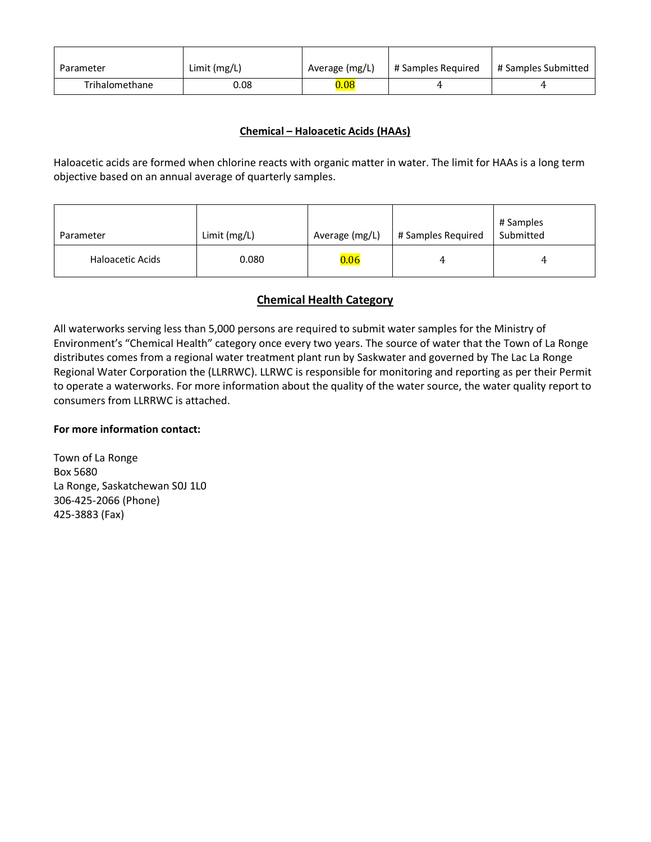| Parameter      | Limit $(mg/L)$ | Average (mg/L) | # Samples Required | # Samples Submitted |
|----------------|----------------|----------------|--------------------|---------------------|
| Trihalomethane | 0.08           | 0.08           |                    |                     |

### **Chemical – Haloacetic Acids (HAAs)**

Haloacetic acids are formed when chlorine reacts with organic matter in water. The limit for HAAs is a long term objective based on an annual average of quarterly samples.

| Parameter        | Limit (mg/L) | Average (mg/L) | # Samples Required | # Samples<br>Submitted |
|------------------|--------------|----------------|--------------------|------------------------|
| Haloacetic Acids | 0.080        | 0.06           | 4                  | 4                      |

## **Chemical Health Category**

All waterworks serving less than 5,000 persons are required to submit water samples for the Ministry of Environment's "Chemical Health" category once every two years. The source of water that the Town of La Ronge distributes comes from a regional water treatment plant run by Saskwater and governed by The Lac La Ronge Regional Water Corporation the (LLRRWC). LLRWC is responsible for monitoring and reporting as per their Permit to operate a waterworks. For more information about the quality of the water source, the water quality report to consumers from LLRRWC is attached.

### **For more information contact:**

Town of La Ronge Box 5680 La Ronge, Saskatchewan S0J 1L0 306-425-2066 (Phone) 425-3883 (Fax)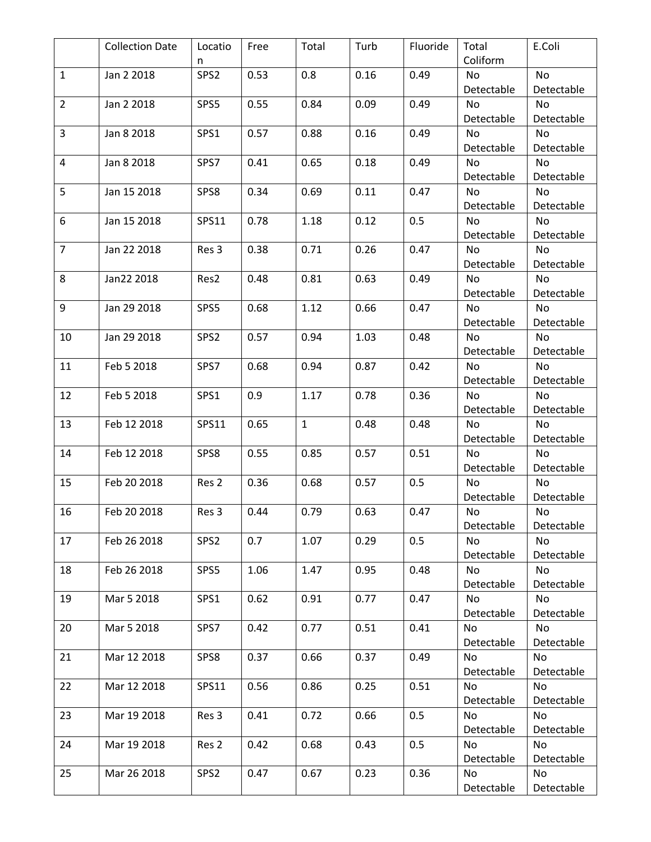|                | <b>Collection Date</b> | Locatio          | Free | Total        | Turb | Fluoride | Total            | E.Coli           |
|----------------|------------------------|------------------|------|--------------|------|----------|------------------|------------------|
|                |                        | n                |      |              |      |          | Coliform         |                  |
| $\mathbf{1}$   | Jan 2 2018             | SPS <sub>2</sub> | 0.53 | 0.8          | 0.16 | 0.49     | No               | No               |
|                |                        |                  |      |              |      |          | Detectable       | Detectable       |
| $\overline{2}$ | Jan 2 2018             | SPS5             | 0.55 | 0.84         | 0.09 | 0.49     | <b>No</b>        | No               |
|                |                        |                  |      |              |      |          | Detectable       | Detectable       |
| 3              | Jan 8 2018             | SPS1             | 0.57 | 0.88         | 0.16 | 0.49     | No               | No               |
|                |                        |                  |      |              |      |          | Detectable       | Detectable       |
| 4              | Jan 8 2018             | SPS7             | 0.41 | 0.65         | 0.18 | 0.49     | <b>No</b>        | No               |
|                |                        |                  |      |              |      |          | Detectable       | Detectable       |
| 5              | Jan 15 2018            | SPS8             | 0.34 | 0.69         | 0.11 | 0.47     | No               | No               |
|                |                        |                  |      |              |      |          | Detectable       | Detectable       |
| 6              | Jan 15 2018            | SPS11            | 0.78 | 1.18         | 0.12 | 0.5      | <b>No</b>        | No               |
|                |                        |                  |      |              |      |          | Detectable       | Detectable       |
| $\overline{7}$ | Jan 22 2018            | Res 3            | 0.38 | 0.71         | 0.26 | 0.47     | <b>No</b>        | No               |
|                |                        |                  |      |              |      |          | Detectable       | Detectable       |
| 8              | Jan22 2018             | Res2             | 0.48 | 0.81         | 0.63 | 0.49     | No               | No               |
|                |                        |                  |      |              |      |          | Detectable       | Detectable       |
| 9              | Jan 29 2018            | SPS5             | 0.68 | 1.12         | 0.66 | 0.47     | <b>No</b>        | No               |
|                |                        |                  |      |              |      |          | Detectable       | Detectable       |
| 10             | Jan 29 2018            | SPS2             | 0.57 | 0.94         | 1.03 | 0.48     | No               | No               |
|                |                        |                  |      |              |      |          | Detectable       | Detectable       |
| 11             | Feb 5 2018             | SPS7             | 0.68 | 0.94         | 0.87 | 0.42     | <b>No</b>        | No               |
|                |                        |                  |      |              |      |          | Detectable       | Detectable       |
| 12             | Feb 5 2018             | SPS1             | 0.9  | 1.17         | 0.78 | 0.36     | No               | No               |
|                |                        |                  |      |              |      |          | Detectable       | Detectable       |
| 13             | Feb 12 2018            | <b>SPS11</b>     | 0.65 | $\mathbf{1}$ | 0.48 | 0.48     | No               | No               |
|                |                        |                  |      |              |      |          | Detectable       | Detectable       |
| 14             | Feb 12 2018            | SPS8             | 0.55 | 0.85         | 0.57 | 0.51     | <b>No</b>        | No               |
|                |                        |                  |      |              |      |          | Detectable       | Detectable       |
| 15             | Feb 20 2018            | Res <sub>2</sub> | 0.36 | 0.68         | 0.57 | 0.5      | No               | No               |
|                |                        |                  |      |              |      |          | Detectable       | Detectable       |
| 16             | Feb 20 2018            | Res 3            | 0.44 | 0.79         | 0.63 | 0.47     | No.              | No.              |
|                |                        |                  |      |              |      |          | Detectable       | Detectable       |
| 17             | Feb 26 2018            | SPS <sub>2</sub> | 0.7  | 1.07         | 0.29 | 0.5      | No               | <b>No</b>        |
|                |                        |                  |      |              |      |          | Detectable       | Detectable       |
| 18             | Feb 26 2018            | SPS5             | 1.06 | 1.47         | 0.95 | 0.48     | No               | No               |
|                |                        |                  |      |              |      |          | Detectable       | Detectable       |
| 19             | Mar 5 2018             | SPS1             | 0.62 | 0.91         | 0.77 | 0.47     | <b>No</b>        | No               |
|                |                        |                  |      |              |      | 0.41     | Detectable       | Detectable       |
| 20             | Mar 5 2018             | SPS7             | 0.42 | 0.77         | 0.51 |          | No<br>Detectable | No<br>Detectable |
| 21             | Mar 12 2018            | SPS8             | 0.37 | 0.66         | 0.37 | 0.49     | No               | No               |
|                |                        |                  |      |              |      |          | Detectable       | Detectable       |
| 22             | Mar 12 2018            | SPS11            | 0.56 | 0.86         | 0.25 | 0.51     | <b>No</b>        | No               |
|                |                        |                  |      |              |      |          | Detectable       | Detectable       |
| 23             | Mar 19 2018            | Res 3            | 0.41 | 0.72         | 0.66 | 0.5      | No               | No               |
|                |                        |                  |      |              |      |          | Detectable       | Detectable       |
| 24             | Mar 19 2018            | Res <sub>2</sub> | 0.42 | 0.68         | 0.43 | 0.5      | No               | No               |
|                |                        |                  |      |              |      |          | Detectable       | Detectable       |
| 25             | Mar 26 2018            | SPS <sub>2</sub> | 0.47 | 0.67         | 0.23 | 0.36     | No               | <b>No</b>        |
|                |                        |                  |      |              |      |          | Detectable       | Detectable       |
|                |                        |                  |      |              |      |          |                  |                  |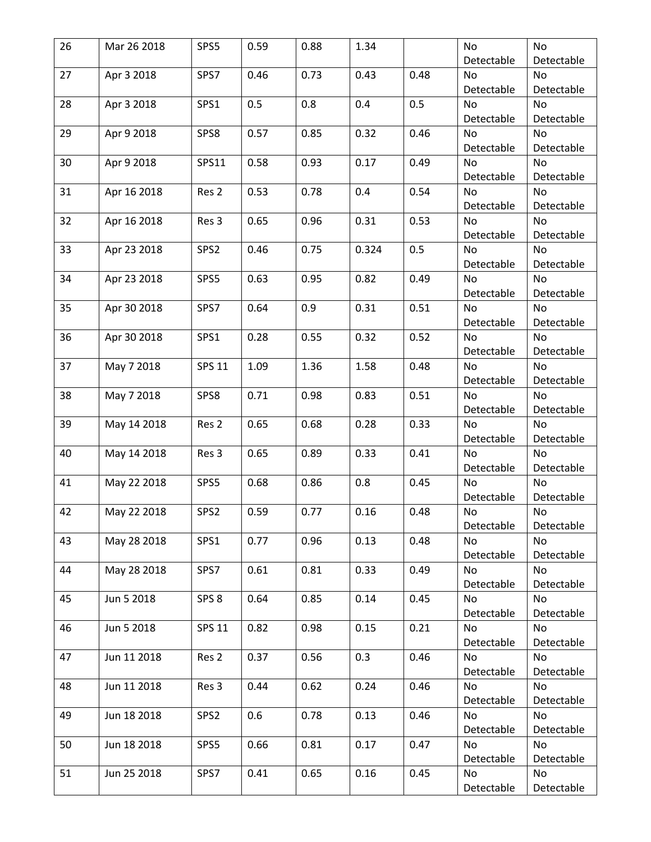| 26 | Mar 26 2018 | SPS5             | 0.59 | 0.88 | 1.34  |      | <b>No</b>        | No               |
|----|-------------|------------------|------|------|-------|------|------------------|------------------|
|    |             |                  |      |      |       |      | Detectable       | Detectable       |
| 27 | Apr 3 2018  | SPS7             | 0.46 | 0.73 | 0.43  | 0.48 | No               | No               |
|    |             |                  |      |      |       |      | Detectable       | Detectable       |
| 28 | Apr 3 2018  | SPS1             | 0.5  | 0.8  | 0.4   | 0.5  | <b>No</b>        | <b>No</b>        |
|    |             |                  |      |      |       |      | Detectable       | Detectable       |
| 29 | Apr 9 2018  | SPS8             | 0.57 | 0.85 | 0.32  | 0.46 | No               | <b>No</b>        |
|    |             |                  |      |      |       |      | Detectable       | Detectable       |
| 30 | Apr 9 2018  | SPS11            | 0.58 | 0.93 | 0.17  | 0.49 | No               | <b>No</b>        |
|    |             |                  |      |      |       |      | Detectable       | Detectable       |
| 31 | Apr 16 2018 | Res <sub>2</sub> | 0.53 | 0.78 | 0.4   | 0.54 | No               | No               |
|    |             |                  |      |      |       |      | Detectable       | Detectable       |
| 32 | Apr 16 2018 | Res <sub>3</sub> | 0.65 | 0.96 | 0.31  | 0.53 | <b>No</b>        | <b>No</b>        |
|    |             |                  |      |      |       |      | Detectable       | Detectable       |
| 33 | Apr 23 2018 | SPS2             | 0.46 | 0.75 | 0.324 | 0.5  | No               | No               |
|    |             |                  |      |      |       |      | Detectable       | Detectable       |
| 34 | Apr 23 2018 | SPS5             | 0.63 | 0.95 | 0.82  | 0.49 | No               | No               |
|    |             |                  |      |      |       |      | Detectable       | Detectable       |
| 35 | Apr 30 2018 | SPS7             | 0.64 | 0.9  | 0.31  | 0.51 | No               | <b>No</b>        |
|    |             |                  |      |      |       |      | Detectable       | Detectable       |
| 36 | Apr 30 2018 | SPS1             | 0.28 | 0.55 | 0.32  | 0.52 | <b>No</b>        | No               |
|    |             |                  |      |      |       |      | Detectable       | Detectable       |
| 37 | May 7 2018  | <b>SPS 11</b>    | 1.09 | 1.36 | 1.58  | 0.48 | No               | <b>No</b>        |
|    |             |                  |      |      |       |      | Detectable       | Detectable       |
| 38 | May 7 2018  | SPS8             | 0.71 | 0.98 | 0.83  | 0.51 | No               | No               |
|    |             |                  |      |      |       |      | Detectable       | Detectable       |
| 39 | May 14 2018 | Res <sub>2</sub> | 0.65 | 0.68 | 0.28  | 0.33 | <b>No</b>        | <b>No</b>        |
|    |             |                  |      |      |       |      | Detectable       | Detectable       |
| 40 | May 14 2018 | Res <sub>3</sub> | 0.65 | 0.89 | 0.33  | 0.41 | No               | <b>No</b>        |
|    |             |                  |      |      |       |      | Detectable       | Detectable       |
| 41 | May 22 2018 | SPS5             | 0.68 | 0.86 | 0.8   | 0.45 | <b>No</b>        | <b>No</b>        |
|    |             |                  |      |      |       |      | Detectable       | Detectable       |
| 42 | May 22 2018 | SPS2             | 0.59 | 0.77 | 0.16  | 0.48 | No               | No               |
|    |             |                  |      |      |       |      | Detectable       | Detectable       |
| 43 | May 28 2018 | SPS1             | 0.77 | 0.96 | 0.13  | 0.48 | No               | No               |
|    |             |                  |      |      |       |      | Detectable       | Detectable       |
| 44 | May 28 2018 | SPS7             | 0.61 | 0.81 | 0.33  | 0.49 | No               | No               |
|    |             |                  |      |      |       |      | Detectable       | Detectable       |
| 45 | Jun 5 2018  | SPS <sub>8</sub> | 0.64 | 0.85 | 0.14  | 0.45 | No               | No               |
|    |             |                  |      |      |       |      | Detectable       | Detectable       |
| 46 | Jun 5 2018  | <b>SPS 11</b>    | 0.82 | 0.98 | 0.15  | 0.21 | No               | No               |
|    |             |                  |      |      |       |      | Detectable       | Detectable       |
| 47 | Jun 11 2018 | Res <sub>2</sub> | 0.37 | 0.56 | 0.3   | 0.46 | No               | No               |
|    |             |                  |      |      |       |      | Detectable       | Detectable       |
| 48 | Jun 11 2018 | Res 3            | 0.44 | 0.62 | 0.24  | 0.46 | <b>No</b>        | <b>No</b>        |
|    |             |                  |      |      |       |      | Detectable       | Detectable       |
| 49 | Jun 18 2018 | SPS <sub>2</sub> | 0.6  | 0.78 | 0.13  | 0.46 | No               | No               |
|    |             |                  |      |      |       |      | Detectable       | Detectable       |
| 50 | Jun 18 2018 | SPS5             | 0.66 | 0.81 | 0.17  | 0.47 | No               | No               |
|    |             |                  |      | 0.65 |       | 0.45 | Detectable<br>No | Detectable<br>No |
| 51 | Jun 25 2018 | SPS7             | 0.41 |      | 0.16  |      |                  |                  |
|    |             |                  |      |      |       |      | Detectable       | Detectable       |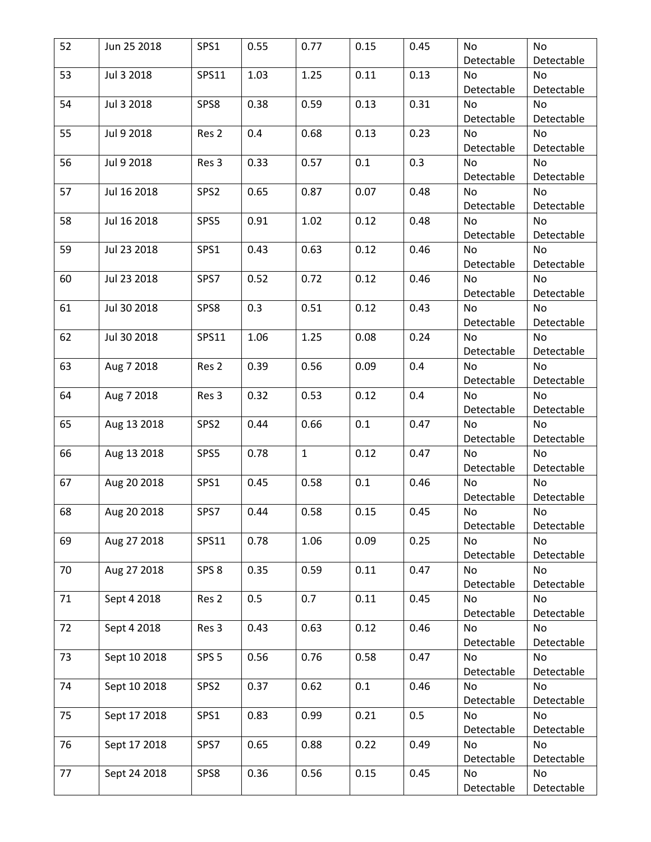| 52 | Jun 25 2018  | SPS1             | 0.55 | 0.77         | 0.15 | 0.45 | No         | No         |
|----|--------------|------------------|------|--------------|------|------|------------|------------|
|    |              |                  |      |              |      |      | Detectable | Detectable |
| 53 | Jul 3 2018   | SPS11            | 1.03 | 1.25         | 0.11 | 0.13 | No         | No         |
|    |              |                  |      |              |      |      | Detectable | Detectable |
| 54 | Jul 3 2018   | SPS8             | 0.38 | 0.59         | 0.13 | 0.31 | No         | <b>No</b>  |
|    |              |                  |      |              |      |      | Detectable | Detectable |
| 55 | Jul 9 2018   | Res <sub>2</sub> | 0.4  | 0.68         | 0.13 | 0.23 | No         | <b>No</b>  |
|    |              |                  |      |              |      |      | Detectable | Detectable |
| 56 | Jul 9 2018   | Res 3            | 0.33 | 0.57         | 0.1  | 0.3  | No         | <b>No</b>  |
|    |              |                  |      |              |      |      | Detectable | Detectable |
| 57 | Jul 16 2018  | SPS2             | 0.65 | 0.87         | 0.07 | 0.48 | No         | No         |
|    |              |                  |      |              |      |      | Detectable | Detectable |
| 58 | Jul 16 2018  | SPS5             | 0.91 | 1.02         | 0.12 | 0.48 | <b>No</b>  | <b>No</b>  |
|    |              |                  |      |              |      |      | Detectable | Detectable |
| 59 | Jul 23 2018  | SPS1             | 0.43 | 0.63         | 0.12 | 0.46 | No         | No         |
|    |              |                  |      |              |      |      | Detectable | Detectable |
| 60 | Jul 23 2018  | SPS7             | 0.52 | 0.72         | 0.12 | 0.46 | No         | No         |
|    |              |                  |      |              |      |      | Detectable | Detectable |
| 61 | Jul 30 2018  | SPS8             | 0.3  | 0.51         | 0.12 | 0.43 | No         | No         |
|    |              |                  |      |              |      |      | Detectable | Detectable |
| 62 | Jul 30 2018  | SPS11            | 1.06 | 1.25         | 0.08 | 0.24 | No         | No         |
|    |              |                  |      |              |      |      | Detectable | Detectable |
| 63 | Aug 7 2018   | Res <sub>2</sub> | 0.39 | 0.56         | 0.09 | 0.4  | No         | <b>No</b>  |
|    |              |                  |      |              |      |      | Detectable | Detectable |
| 64 | Aug 7 2018   | Res 3            | 0.32 | 0.53         | 0.12 | 0.4  | No         | No         |
|    |              |                  |      |              |      |      | Detectable | Detectable |
| 65 | Aug 13 2018  | SPS2             | 0.44 | 0.66         | 0.1  | 0.47 | No         | <b>No</b>  |
|    |              |                  |      |              |      |      | Detectable | Detectable |
| 66 | Aug 13 2018  | SPS5             | 0.78 | $\mathbf{1}$ | 0.12 | 0.47 | No         | No         |
|    |              |                  |      |              |      |      | Detectable | Detectable |
| 67 | Aug 20 2018  | SPS1             | 0.45 | 0.58         | 0.1  | 0.46 | No         | <b>No</b>  |
|    |              |                  |      |              |      |      | Detectable | Detectable |
| 68 | Aug 20 2018  | SPS7             | 0.44 | 0.58         | 0.15 | 0.45 | No         | No         |
|    |              |                  |      |              |      |      | Detectable | Detectable |
| 69 | Aug 27 2018  | SPS11            | 0.78 | 1.06         | 0.09 | 0.25 | No         | No         |
|    |              |                  |      |              |      |      | Detectable | Detectable |
| 70 | Aug 27 2018  | SPS <sub>8</sub> | 0.35 | 0.59         | 0.11 | 0.47 | No         | No         |
|    |              |                  |      |              |      |      | Detectable | Detectable |
| 71 | Sept 4 2018  | Res <sub>2</sub> | 0.5  | 0.7          | 0.11 | 0.45 | No         | No         |
|    |              |                  |      |              |      |      | Detectable | Detectable |
| 72 | Sept 4 2018  | Res 3            | 0.43 | 0.63         | 0.12 | 0.46 | No         | No         |
|    |              |                  |      |              |      |      | Detectable | Detectable |
| 73 | Sept 10 2018 | SPS <sub>5</sub> | 0.56 | 0.76         | 0.58 | 0.47 | No         | No         |
|    |              |                  |      |              |      |      | Detectable | Detectable |
| 74 | Sept 10 2018 | SPS2             | 0.37 | 0.62         | 0.1  | 0.46 | No         | No         |
|    |              |                  |      |              |      |      | Detectable | Detectable |
| 75 | Sept 17 2018 | SPS1             | 0.83 | 0.99         | 0.21 | 0.5  | No         | No         |
|    |              |                  |      |              |      |      | Detectable | Detectable |
| 76 | Sept 17 2018 | SPS7             | 0.65 | 0.88         | 0.22 | 0.49 | No         | No         |
|    |              |                  |      |              |      |      | Detectable | Detectable |
| 77 | Sept 24 2018 | SPS8             | 0.36 | 0.56         | 0.15 | 0.45 | No         | No         |
|    |              |                  |      |              |      |      | Detectable | Detectable |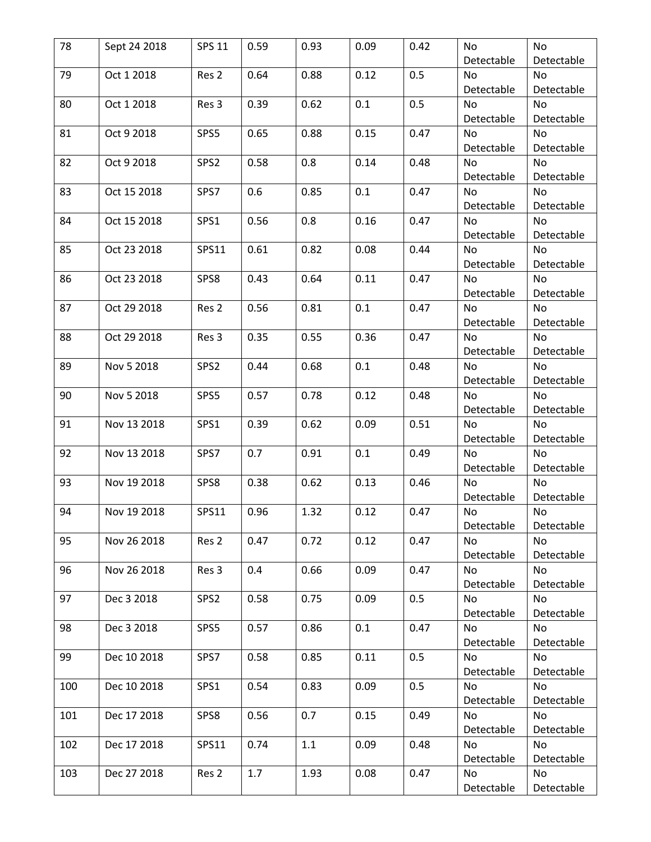| 78  | Sept 24 2018 | <b>SPS 11</b>    | 0.59 | 0.93 | 0.09 | 0.42 | No         | No         |
|-----|--------------|------------------|------|------|------|------|------------|------------|
|     |              |                  |      |      |      |      | Detectable | Detectable |
| 79  | Oct 1 2018   | Res <sub>2</sub> | 0.64 | 0.88 | 0.12 | 0.5  | No         | No         |
|     |              |                  |      |      |      |      | Detectable | Detectable |
| 80  | Oct 1 2018   | Res 3            | 0.39 | 0.62 | 0.1  | 0.5  | <b>No</b>  | No         |
|     |              |                  |      |      |      |      | Detectable | Detectable |
| 81  | Oct 9 2018   | SPS5             | 0.65 | 0.88 | 0.15 | 0.47 | No         | No         |
|     |              |                  |      |      |      |      | Detectable | Detectable |
| 82  | Oct 9 2018   | SPS2             | 0.58 | 0.8  | 0.14 | 0.48 | No         | No         |
|     |              |                  |      |      |      |      | Detectable | Detectable |
| 83  | Oct 15 2018  | SPS7             | 0.6  | 0.85 | 0.1  | 0.47 | No         | No         |
|     |              |                  |      |      |      |      | Detectable | Detectable |
| 84  | Oct 15 2018  | SPS1             | 0.56 | 0.8  | 0.16 | 0.47 | <b>No</b>  | No         |
|     |              |                  |      |      |      |      | Detectable | Detectable |
| 85  | Oct 23 2018  | SPS11            | 0.61 | 0.82 | 0.08 | 0.44 | No         | No         |
|     |              |                  |      |      |      |      | Detectable | Detectable |
| 86  | Oct 23 2018  | SPS8             | 0.43 | 0.64 | 0.11 | 0.47 | No         | No         |
|     |              |                  |      |      |      |      | Detectable | Detectable |
| 87  | Oct 29 2018  | Res <sub>2</sub> | 0.56 | 0.81 | 0.1  | 0.47 | No         | No         |
|     |              |                  |      |      |      |      | Detectable | Detectable |
| 88  | Oct 29 2018  | Res 3            | 0.35 | 0.55 | 0.36 | 0.47 | <b>No</b>  | No         |
|     |              |                  |      |      |      |      | Detectable | Detectable |
| 89  | Nov 5 2018   | SPS2             | 0.44 | 0.68 | 0.1  | 0.48 | No         | No         |
|     |              |                  |      |      |      |      | Detectable | Detectable |
| 90  | Nov 5 2018   | SPS5             | 0.57 | 0.78 | 0.12 | 0.48 | No         | No         |
|     |              |                  |      |      |      |      | Detectable | Detectable |
| 91  | Nov 13 2018  | SPS1             | 0.39 | 0.62 | 0.09 | 0.51 | <b>No</b>  | <b>No</b>  |
|     |              |                  |      |      |      |      | Detectable | Detectable |
| 92  | Nov 13 2018  | SPS7             | 0.7  | 0.91 | 0.1  | 0.49 | No         | No         |
|     |              |                  |      |      |      |      | Detectable | Detectable |
| 93  | Nov 19 2018  | SPS8             | 0.38 | 0.62 | 0.13 | 0.46 | No         | No         |
|     |              |                  |      |      |      |      | Detectable | Detectable |
| 94  | Nov 19 2018  | SPS11            | 0.96 | 1.32 | 0.12 | 0.47 | No         | No         |
|     |              |                  |      |      |      |      | Detectable | Detectable |
| 95  | Nov 26 2018  | Res <sub>2</sub> | 0.47 | 0.72 | 0.12 | 0.47 | No         | No         |
|     |              |                  |      |      |      |      | Detectable | Detectable |
| 96  | Nov 26 2018  | Res <sub>3</sub> | 0.4  | 0.66 | 0.09 | 0.47 | No         | <b>No</b>  |
|     |              |                  |      |      |      |      | Detectable | Detectable |
| 97  | Dec 3 2018   | SPS <sub>2</sub> | 0.58 | 0.75 | 0.09 | 0.5  | No         | No         |
|     |              |                  |      |      |      |      | Detectable | Detectable |
| 98  | Dec 3 2018   | SPS5             | 0.57 | 0.86 | 0.1  | 0.47 | No         | No         |
|     |              |                  |      |      |      |      | Detectable | Detectable |
| 99  | Dec 10 2018  | SPS7             | 0.58 | 0.85 | 0.11 | 0.5  | No         | No         |
|     |              |                  |      |      |      |      | Detectable | Detectable |
| 100 | Dec 10 2018  | SPS1             | 0.54 | 0.83 | 0.09 | 0.5  | <b>No</b>  | No         |
|     |              |                  |      |      |      |      | Detectable | Detectable |
| 101 | Dec 17 2018  | SPS8             | 0.56 | 0.7  | 0.15 | 0.49 | No         | No         |
|     |              |                  |      |      |      |      | Detectable | Detectable |
| 102 | Dec 17 2018  | SPS11            | 0.74 | 1.1  | 0.09 | 0.48 | No         | No         |
|     |              |                  |      |      |      |      | Detectable | Detectable |
| 103 | Dec 27 2018  | Res <sub>2</sub> | 1.7  | 1.93 | 0.08 | 0.47 | No         | No         |
|     |              |                  |      |      |      |      | Detectable | Detectable |